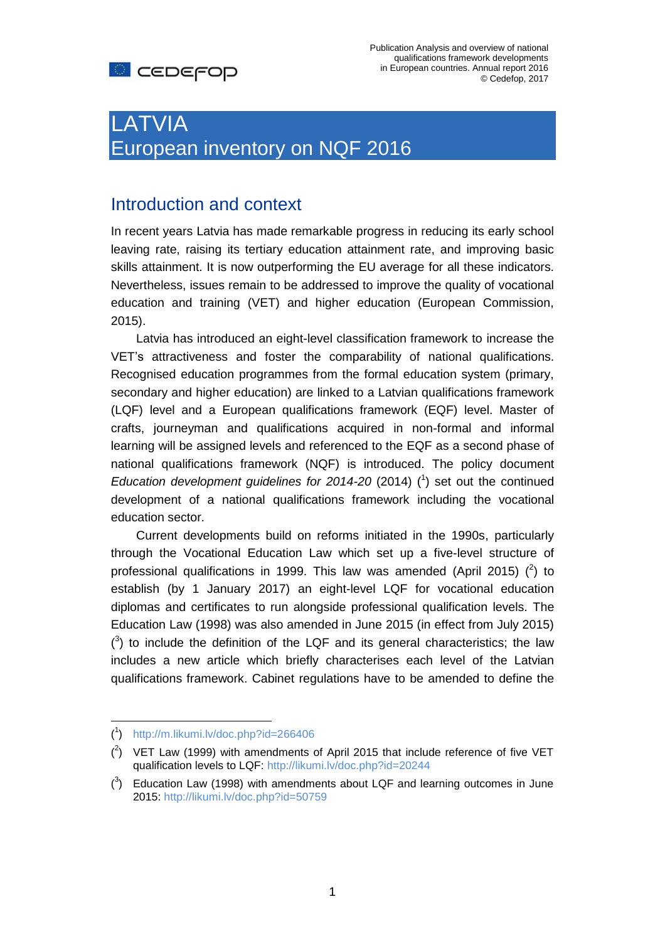

Publication Analysis and overview of national qualifications framework developments in European countries. Annual report 2016 © Cedefop, 2017

# LATVIA European inventory on NQF 2016

### Introduction and context

In recent years Latvia has made remarkable progress in reducing its early school leaving rate, raising its tertiary education attainment rate, and improving basic skills attainment. It is now outperforming the EU average for all these indicators. Nevertheless, issues remain to be addressed to improve the quality of vocational education and training (VET) and higher education (European Commission, 2015).

Latvia has introduced an eight-level classification framework to increase the VET's attractiveness and foster the comparability of national qualifications. Recognised education programmes from the formal education system (primary, secondary and higher education) are linked to a Latvian qualifications framework (LQF) level and a European qualifications framework (EQF) level. Master of crafts, journeyman and qualifications acquired in non-formal and informal learning will be assigned levels and referenced to the EQF as a second phase of national qualifications framework (NQF) is introduced. The policy document *Education development guidelines for 2014-20* (2014) ( 1 ) set out the continued development of a national qualifications framework including the vocational education sector.

Current developments build on reforms initiated in the 1990s, particularly through the Vocational Education Law which set up a five-level structure of professional qualifications in 1999. This law was amended (April 2015)  $(^2)$  to establish (by 1 January 2017) an eight-level LQF for vocational education diplomas and certificates to run alongside professional qualification levels. The Education Law (1998) was also amended in June 2015 (in effect from July 2015)  $(3)$  to include the definition of the LQF and its general characteristics; the law includes a new article which briefly characterises each level of the Latvian qualifications framework. Cabinet regulations have to be amended to define the

 $\overline{a}$ 

<sup>(</sup> 1 ) <http://m.likumi.lv/doc.php?id=266406>

 $(^2)$  VET Law (1999) with amendments of April 2015 that include reference of five VET qualification levels to LQF:<http://likumi.lv/doc.php?id=20244>

 $\binom{3}{2}$  Education Law (1998) with amendments about LQF and learning outcomes in June 2015:<http://likumi.lv/doc.php?id=50759>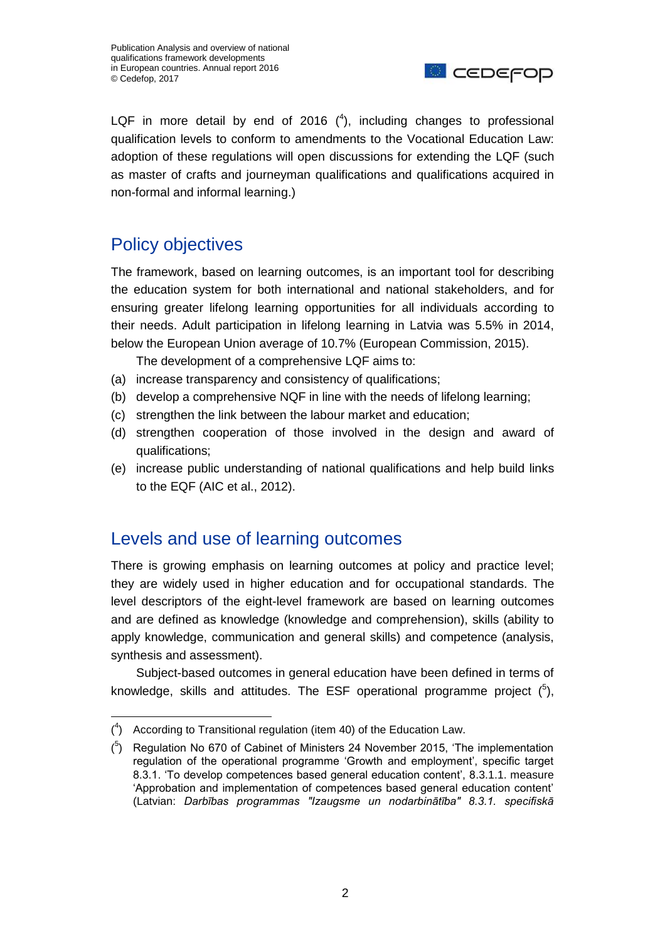

LQF in more detail by end of 2016  $(4)$ , including changes to professional qualification levels to conform to amendments to the Vocational Education Law: adoption of these regulations will open discussions for extending the LQF (such as master of crafts and journeyman qualifications and qualifications acquired in non-formal and informal learning.)

# Policy objectives

The framework, based on learning outcomes, is an important tool for describing the education system for both international and national stakeholders, and for ensuring greater lifelong learning opportunities for all individuals according to their needs. Adult participation in lifelong learning in Latvia was 5.5% in 2014, below the European Union average of 10.7% (European Commission, 2015).

The development of a comprehensive LQF aims to:

- (a) increase transparency and consistency of qualifications;
- (b) develop a comprehensive NQF in line with the needs of lifelong learning;
- (c) strengthen the link between the labour market and education;
- (d) strengthen cooperation of those involved in the design and award of qualifications;
- (e) increase public understanding of national qualifications and help build links to the EQF (AIC et al., 2012).

#### Levels and use of learning outcomes

There is growing emphasis on learning outcomes at policy and practice level; they are widely used in higher education and for occupational standards. The level descriptors of the eight-level framework are based on learning outcomes and are defined as knowledge (knowledge and comprehension), skills (ability to apply knowledge, communication and general skills) and competence (analysis, synthesis and assessment).

Subject-based outcomes in general education have been defined in terms of knowledge, skills and attitudes. The ESF operational programme project  $(^5)$ ,

 $(1)$  According to Transitional regulation (item 40) of the Education Law.

 $(5)$  Regulation No 670 of Cabinet of Ministers 24 November 2015, 'The implementation regulation of the operational programme 'Growth and employment', specific target 8.3.1. 'To develop competences based general education content', 8.3.1.1. measure 'Approbation and implementation of competences based general education content' (Latvian: *Darbības programmas "Izaugsme un nodarbinātība" 8.3.1. specifiskā*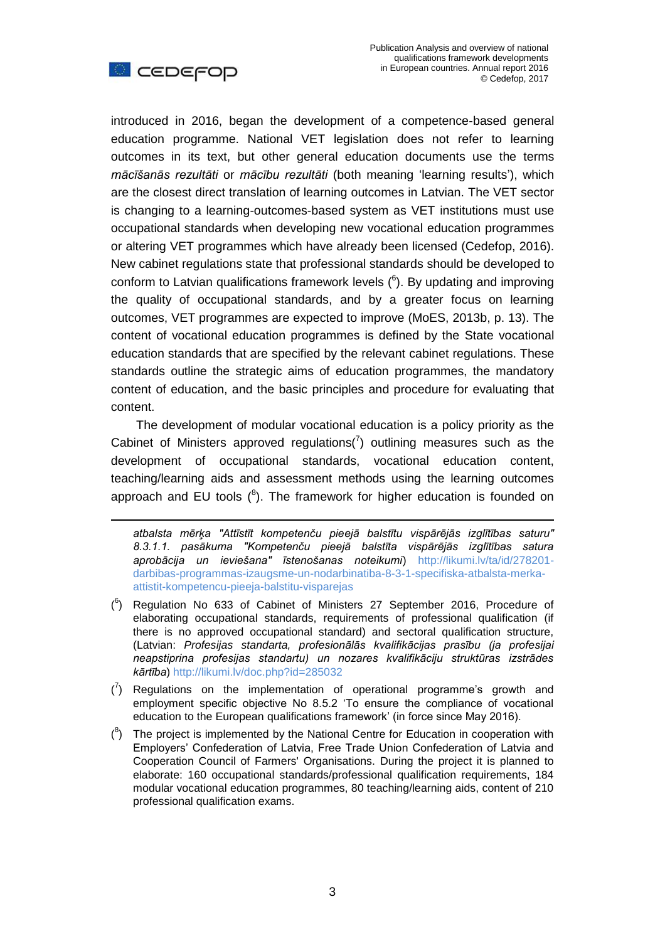



<u>.</u>

introduced in 2016, began the development of a competence-based general education programme. National VET legislation does not refer to learning outcomes in its text, but other general education documents use the terms *mācīšanās rezultāti* or *mācību rezultāti* (both meaning 'learning results'), which are the closest direct translation of learning outcomes in Latvian. The VET sector is changing to a learning-outcomes-based system as VET institutions must use occupational standards when developing new vocational education programmes or altering VET programmes which have already been licensed (Cedefop, 2016). New cabinet regulations state that professional standards should be developed to conform to Latvian qualifications framework levels ( 6 ). By updating and improving the quality of occupational standards, and by a greater focus on learning outcomes, VET programmes are expected to improve (MoES, 2013b, p. 13). The content of vocational education programmes is defined by the State vocational education standards that are specified by the relevant cabinet regulations. These standards outline the strategic aims of education programmes, the mandatory content of education, and the basic principles and procedure for evaluating that content.

The development of modular vocational education is a policy priority as the Cabinet of Ministers approved regulations( $\bar{y}$ ) outlining measures such as the development of occupational standards, vocational education content, teaching/learning aids and assessment methods using the learning outcomes approach and EU tools  $(^{8})$ . The framework for higher education is founded on

*atbalsta mērķa "Attīstīt kompetenču pieejā balstītu vispārējās izglītības saturu" 8.3.1.1. pasākuma "Kompetenču pieejā balstīta vispārējās izglītības satura aprobācija un ieviešana" īstenošanas noteikumi*) [http://likumi.lv/ta/id/278201](http://likumi.lv/ta/id/278201-darbibas-programmas-izaugsme-un-nodarbinatiba-8-3-1-specifiska-atbalsta-merka-attistit-kompetencu-pieeja-balstitu-visparejas) [darbibas-programmas-izaugsme-un-nodarbinatiba-8-3-1-specifiska-atbalsta-merka](http://likumi.lv/ta/id/278201-darbibas-programmas-izaugsme-un-nodarbinatiba-8-3-1-specifiska-atbalsta-merka-attistit-kompetencu-pieeja-balstitu-visparejas)[attistit-kompetencu-pieeja-balstitu-visparejas](http://likumi.lv/ta/id/278201-darbibas-programmas-izaugsme-un-nodarbinatiba-8-3-1-specifiska-atbalsta-merka-attistit-kompetencu-pieeja-balstitu-visparejas)

- $(^6)$  Regulation No 633 of Cabinet of Ministers 27 September 2016, Procedure of elaborating occupational standards, requirements of professional qualification (if there is no approved occupational standard) and sectoral qualification structure, (Latvian: *Profesijas standarta, profesionālās kvalifikācijas prasību (ja profesijai neapstiprina profesijas standartu) un nozares kvalifikāciju struktūras izstrādes kārtība*)<http://likumi.lv/doc.php?id=285032>
- $\binom{7}{1}$  Regulations on the implementation of operational programme's growth and employment specific objective No 8.5.2 'To ensure the compliance of vocational education to the European qualifications framework' (in force since May 2016).
- $(3)$  The project is implemented by the National Centre for Education in cooperation with Employers' Confederation of Latvia, Free Trade Union Confederation of Latvia and Cooperation Council of Farmers' Organisations. During the project it is planned to elaborate: 160 occupational standards/professional qualification requirements, 184 modular vocational education programmes, 80 teaching/learning aids, content of 210 professional qualification exams.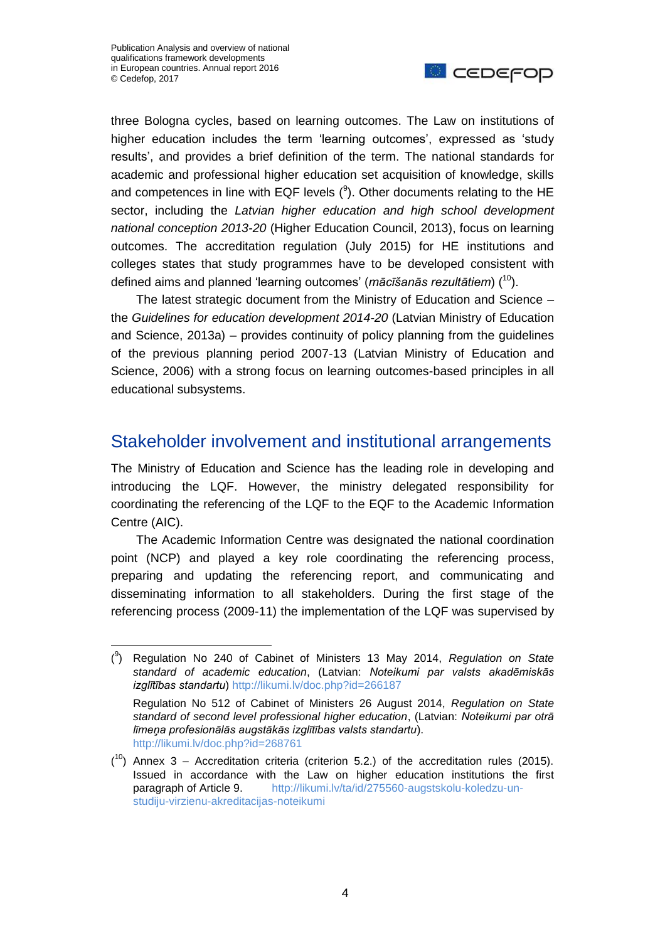$\overline{a}$ 



three Bologna cycles, based on learning outcomes. The Law on institutions of higher education includes the term 'learning outcomes', expressed as 'study results', and provides a brief definition of the term. The national standards for academic and professional higher education set acquisition of knowledge, skills and competences in line with EQF levels  $(3)$ . Other documents relating to the HE sector, including the *Latvian higher education and high school development national conception 2013-20* (Higher Education Council, 2013), focus on learning outcomes. The accreditation regulation (July 2015) for HE institutions and colleges states that study programmes have to be developed consistent with defined aims and planned 'learning outcomes' (*mācīšanās rezultātiem*) (<sup>10</sup>).

The latest strategic document from the Ministry of Education and Science – the *Guidelines for education development 2014-20* (Latvian Ministry of Education and Science, 2013a) – provides continuity of policy planning from the guidelines of the previous planning period 2007-13 (Latvian Ministry of Education and Science, 2006) with a strong focus on learning outcomes-based principles in all educational subsystems.

#### Stakeholder involvement and institutional arrangements

The Ministry of Education and Science has the leading role in developing and introducing the LQF. However, the ministry delegated responsibility for coordinating the referencing of the LQF to the EQF to the Academic Information Centre (AIC).

The Academic Information Centre was designated the national coordination point (NCP) and played a key role coordinating the referencing process, preparing and updating the referencing report, and communicating and disseminating information to all stakeholders. During the first stage of the referencing process (2009-11) the implementation of the LQF was supervised by

<sup>(</sup> 9 ) Regulation No 240 of Cabinet of Ministers 13 May 2014, *Regulation on State standard of academic education*, (Latvian: *Noteikumi par valsts akadēmiskās izglītības standartu*)<http://likumi.lv/doc.php?id=266187>

Regulation No 512 of Cabinet of Ministers 26 August 2014, *Regulation on State standard of second level professional higher education*, (Latvian: *Noteikumi par otrā līmeņa profesionālās augstākās izglītības valsts standartu*). <http://likumi.lv/doc.php?id=268761>

 $(10)$  Annex 3 – Accreditation criteria (criterion 5.2.) of the accreditation rules (2015). Issued in accordance with the Law on higher education institutions the first paragraph of Article 9. [http://likumi.lv/ta/id/275560-augstskolu-koledzu-un](http://likumi.lv/ta/id/275560-augstskolu-koledzu-un-studiju-virzienu-akreditacijas-noteikumi)[studiju-virzienu-akreditacijas-noteikumi](http://likumi.lv/ta/id/275560-augstskolu-koledzu-un-studiju-virzienu-akreditacijas-noteikumi)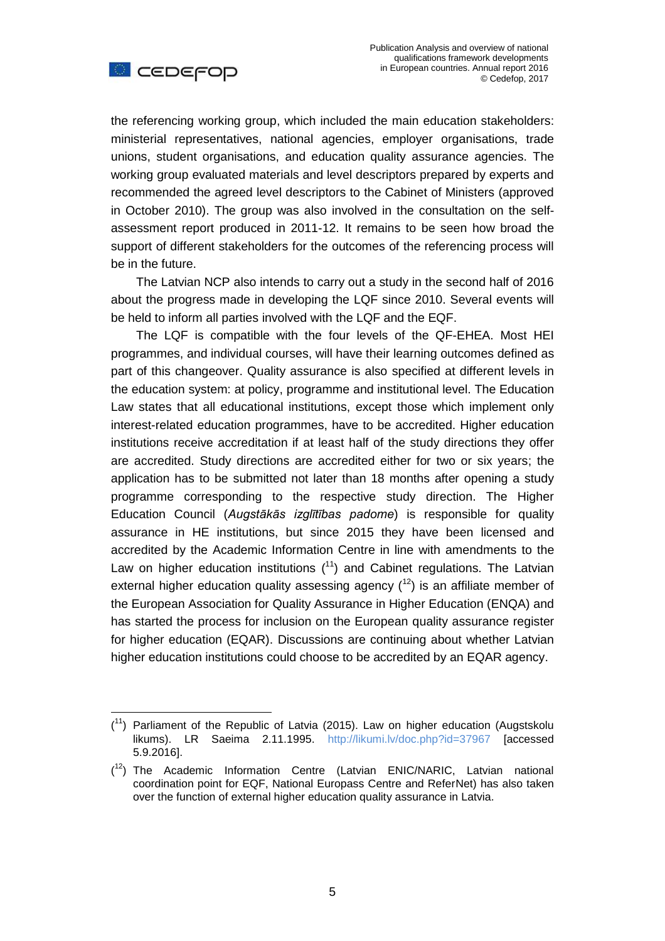

 $\overline{a}$ 

the referencing working group, which included the main education stakeholders: ministerial representatives, national agencies, employer organisations, trade unions, student organisations, and education quality assurance agencies. The working group evaluated materials and level descriptors prepared by experts and recommended the agreed level descriptors to the Cabinet of Ministers (approved in October 2010). The group was also involved in the consultation on the selfassessment report produced in 2011-12. It remains to be seen how broad the support of different stakeholders for the outcomes of the referencing process will be in the future.

The Latvian NCP also intends to carry out a study in the second half of 2016 about the progress made in developing the LQF since 2010. Several events will be held to inform all parties involved with the LQF and the EQF.

The LQF is compatible with the four levels of the QF-EHEA. Most HEI programmes, and individual courses, will have their learning outcomes defined as part of this changeover. Quality assurance is also specified at different levels in the education system: at policy, programme and institutional level. The Education Law states that all educational institutions, except those which implement only interest-related education programmes, have to be accredited. Higher education institutions receive accreditation if at least half of the study directions they offer are accredited. Study directions are accredited either for two or six years; the application has to be submitted not later than 18 months after opening a study programme corresponding to the respective study direction. The Higher Education Council (*Augstākās izglītības padome*) is responsible for quality assurance in HE institutions, but since 2015 they have been licensed and accredited by the Academic Information Centre in line with amendments to the Law on higher education institutions  $(1)$  and Cabinet regulations. The Latvian external higher education quality assessing agency  $(12)$  is an affiliate member of the European Association for Quality Assurance in Higher Education (ENQA) and has started the process for inclusion on the European quality assurance register for higher education (EQAR). Discussions are continuing about whether Latvian higher education institutions could choose to be accredited by an EQAR agency.

 $(1)$  Parliament of the Republic of Latvia (2015). Law on higher education (Augstskolu likums). LR Saeima 2.11.1995. <http://likumi.lv/doc.php?id=37967> [accessed 5.9.2016].

 $(1<sup>2</sup>)$  The Academic Information Centre (Latvian ENIC/NARIC, Latvian national coordination point for EQF, National Europass Centre and ReferNet) has also taken over the function of external higher education quality assurance in Latvia.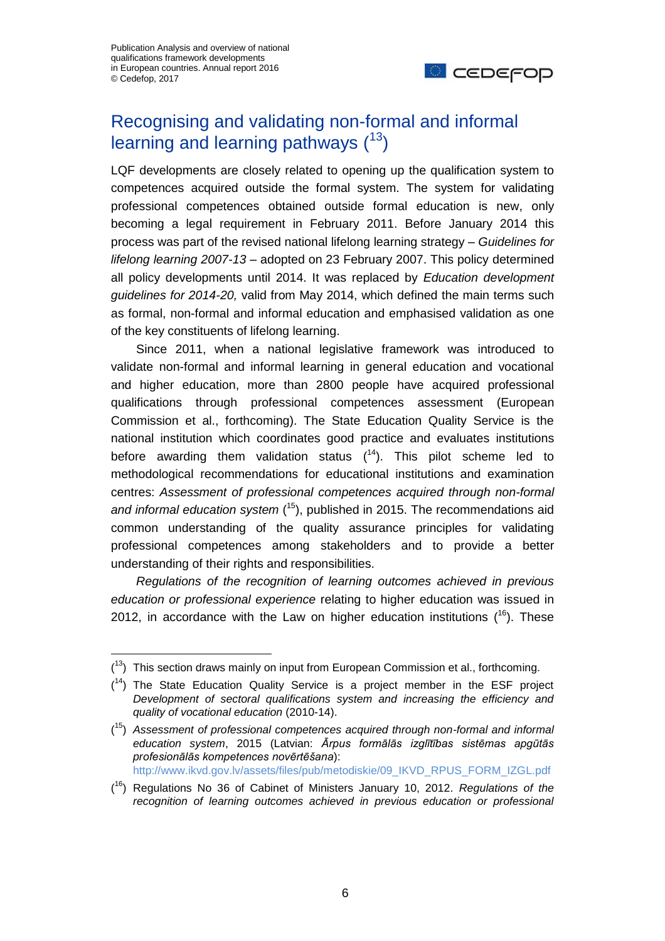$\overline{a}$ 



# Recognising and validating non-formal and informal learning and learning pathways  $(^{13})$

LQF developments are closely related to opening up the qualification system to competences acquired outside the formal system. The system for validating professional competences obtained outside formal education is new, only becoming a legal requirement in February 2011. Before January 2014 this process was part of the revised national lifelong learning strategy – *Guidelines for lifelong learning 2007-13 –* adopted on 23 February 2007. This policy determined all policy developments until 2014. It was replaced by *Education development guidelines for 2014-20,* valid from May 2014, which defined the main terms such as formal, non-formal and informal education and emphasised validation as one of the key constituents of lifelong learning.

Since 2011, when a national legislative framework was introduced to validate non-formal and informal learning in general education and vocational and higher education, more than 2800 people have acquired professional qualifications through professional competences assessment (European Commission et al., forthcoming). The State Education Quality Service is the national institution which coordinates good practice and evaluates institutions before awarding them validation status  $(^{14})$ . This pilot scheme led to methodological recommendations for educational institutions and examination centres: *Assessment of professional competences acquired through non-formal and informal education system* ( <sup>15</sup>), published in 2015. The recommendations aid common understanding of the quality assurance principles for validating professional competences among stakeholders and to provide a better understanding of their rights and responsibilities.

*Regulations of the recognition of learning outcomes achieved in previous education or professional experience* relating to higher education was issued in 2012, in accordance with the Law on higher education institutions  $(^{16})$ . These

 $(13)$  This section draws mainly on input from European Commission et al., forthcoming.

 $(14)$  The State Education Quality Service is a project member in the ESF project *Development of sectoral qualifications system and increasing the efficiency and quality of vocational education* (2010-14).

<sup>(</sup> <sup>15</sup>) *Assessment of professional competences acquired through non-formal and informal education system*, 2015 (Latvian: *Ārpus formālās izglītības sistēmas apgūtās profesionālās kompetences novērtēšana*): [http://www.ikvd.gov.lv/assets/files/pub/metodiskie/09\\_IKVD\\_RPUS\\_FORM\\_IZGL.pdf](http://www.ikvd.gov.lv/assets/files/pub/metodiskie/09_IKVD_RPUS_FORM_IZGL.pdf)

<sup>(</sup> <sup>16</sup>) Regulations No 36 of Cabinet of Ministers January 10, 2012. *Regulations of the*  recognition of learning outcomes achieved in previous education or professional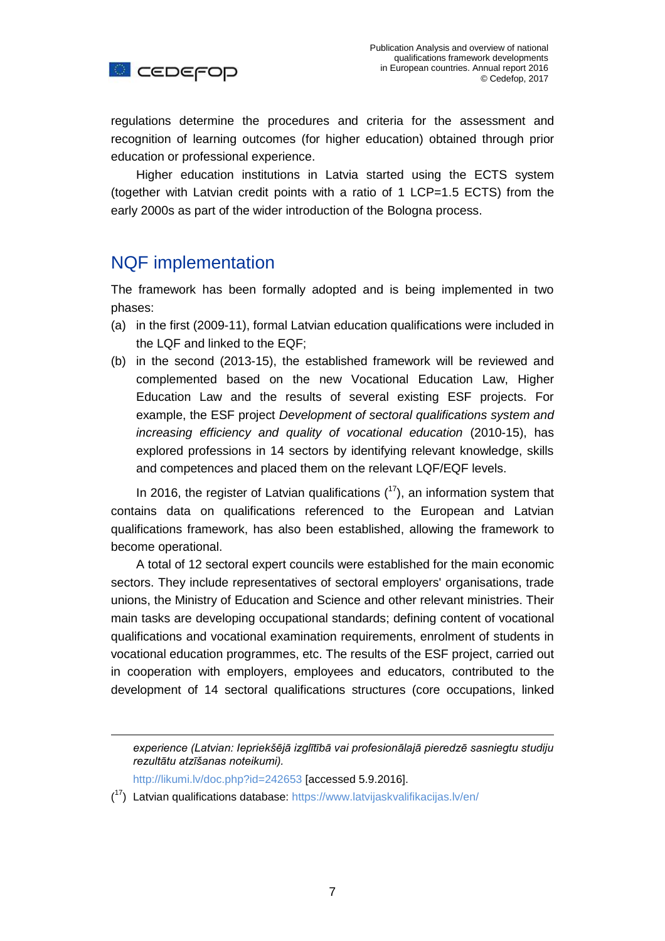

regulations determine the procedures and criteria for the assessment and recognition of learning outcomes (for higher education) obtained through prior education or professional experience.

Higher education institutions in Latvia started using the ECTS system (together with Latvian credit points with a ratio of 1 LCP=1.5 ECTS) from the early 2000s as part of the wider introduction of the Bologna process.

## NQF implementation

The framework has been formally adopted and is being implemented in two phases:

- (a) in the first (2009-11), formal Latvian education qualifications were included in the LQF and linked to the EQF;
- (b) in the second (2013-15), the established framework will be reviewed and complemented based on the new Vocational Education Law, Higher Education Law and the results of several existing ESF projects. For example, the ESF project *Development of sectoral qualifications system and increasing efficiency and quality of vocational education* (2010-15), has explored professions in 14 sectors by identifying relevant knowledge, skills and competences and placed them on the relevant LQF/EQF levels.

In 2016, the register of Latvian qualifications  $(17)$ , an information system that contains data on qualifications referenced to the European and Latvian qualifications framework, has also been established, allowing the framework to become operational.

A total of 12 sectoral expert councils were established for the main economic sectors. They include representatives of sectoral employers' organisations, trade unions, the Ministry of Education and Science and other relevant ministries. Their main tasks are developing occupational standards; defining content of vocational qualifications and vocational examination requirements, enrolment of students in vocational education programmes, etc. The results of the ESF project, carried out in cooperation with employers, employees and educators, contributed to the development of 14 sectoral qualifications structures (core occupations, linked

1

*experience (Latvian: Iepriekšējā izglītībā vai profesionālajā pieredzē sasniegtu studiju rezultātu atzīšanas noteikumi).*

<http://likumi.lv/doc.php?id=242653> [accessed 5.9.2016].

<sup>(&</sup>lt;sup>17</sup>) Latvian qualifications database:<https://www.latvijaskvalifikacijas.lv/en/>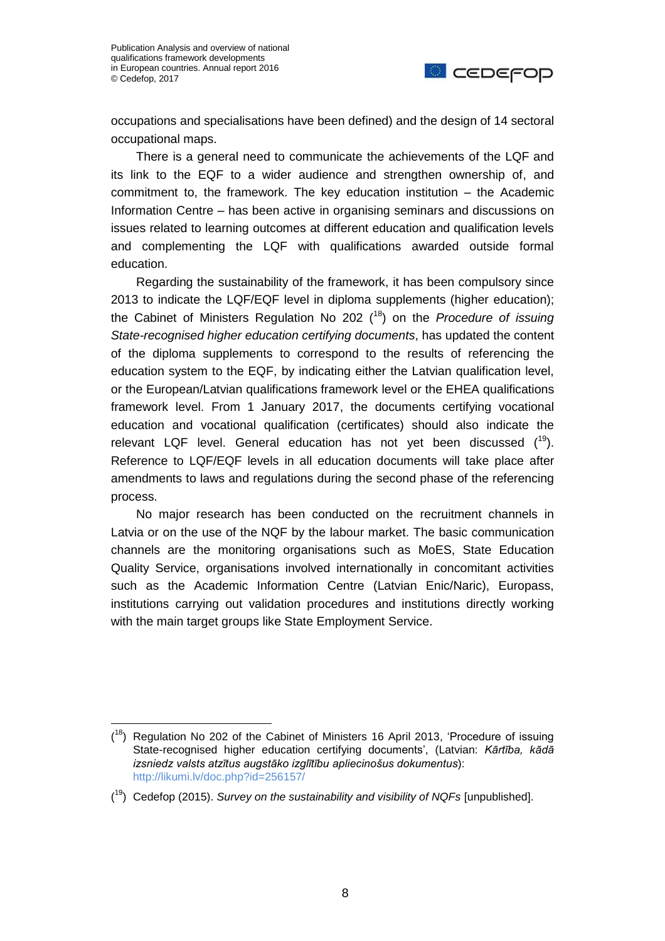

occupations and specialisations have been defined) and the design of 14 sectoral occupational maps.

There is a general need to communicate the achievements of the LQF and its link to the EQF to a wider audience and strengthen ownership of, and commitment to, the framework. The key education institution – the Academic Information Centre – has been active in organising seminars and discussions on issues related to learning outcomes at different education and qualification levels and complementing the LQF with qualifications awarded outside formal education.

Regarding the sustainability of the framework, it has been compulsory since 2013 to indicate the LQF/EQF level in diploma supplements (higher education); the Cabinet of Ministers Regulation No 202 (<sup>18</sup>) on the *Procedure of issuing State-recognised higher education certifying documents*, has updated the content of the diploma supplements to correspond to the results of referencing the education system to the EQF, by indicating either the Latvian qualification level, or the European/Latvian qualifications framework level or the EHEA qualifications framework level. From 1 January 2017, the documents certifying vocational education and vocational qualification (certificates) should also indicate the relevant LQF level. General education has not yet been discussed  $(^{19})$ . Reference to LQF/EQF levels in all education documents will take place after amendments to laws and regulations during the second phase of the referencing process.

No major research has been conducted on the recruitment channels in Latvia or on the use of the NQF by the labour market. The basic communication channels are the monitoring organisations such as MoES, State Education Quality Service, organisations involved internationally in concomitant activities such as the Academic Information Centre (Latvian Enic/Naric), Europass, institutions carrying out validation procedures and institutions directly working with the main target groups like State Employment Service.

 $(18)$  Regulation No 202 of the Cabinet of Ministers 16 April 2013, 'Procedure of issuing State-recognised higher education certifying documents', (Latvian: *Kārtība, kādā izsniedz valsts atzītus augstāko izglītību apliecinošus dokumentus*): <http://likumi.lv/doc.php?id=256157/>

<sup>(</sup> <sup>19</sup>) Cedefop (2015). *Survey on the sustainability and visibility of NQFs* [unpublished].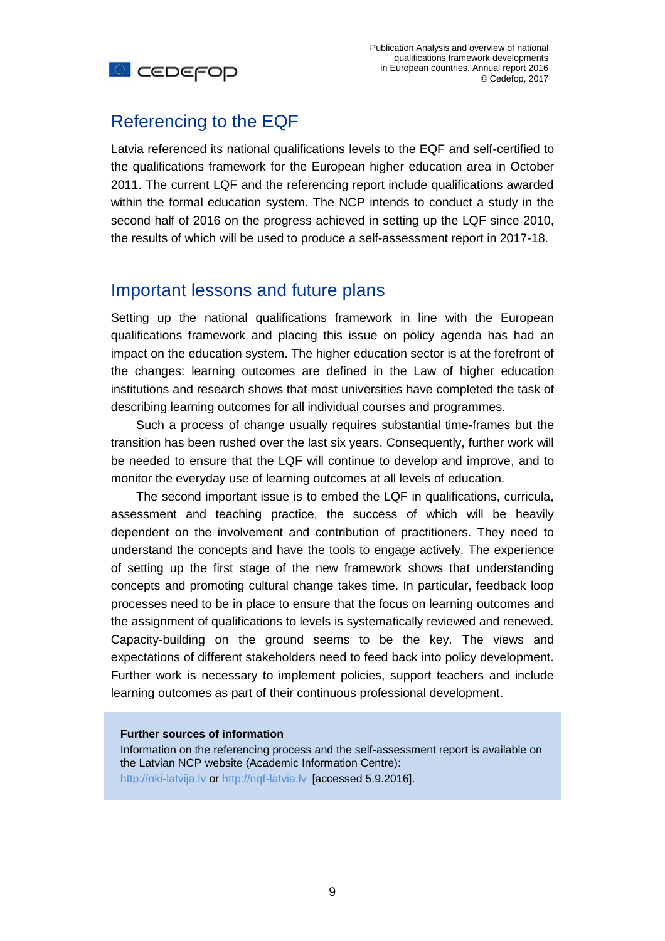

## Referencing to the EQF

Latvia referenced its national qualifications levels to the EQF and self-certified to the qualifications framework for the European higher education area in October 2011. The current LQF and the referencing report include qualifications awarded within the formal education system. The NCP intends to conduct a study in the second half of 2016 on the progress achieved in setting up the LQF since 2010, the results of which will be used to produce a self-assessment report in 2017-18.

#### Important lessons and future plans

Setting up the national qualifications framework in line with the European qualifications framework and placing this issue on policy agenda has had an impact on the education system. The higher education sector is at the forefront of the changes: learning outcomes are defined in the Law of higher education institutions and research shows that most universities have completed the task of describing learning outcomes for all individual courses and programmes.

Such a process of change usually requires substantial time-frames but the transition has been rushed over the last six years. Consequently, further work will be needed to ensure that the LQF will continue to develop and improve, and to monitor the everyday use of learning outcomes at all levels of education.

The second important issue is to embed the LQF in qualifications, curricula, assessment and teaching practice, the success of which will be heavily dependent on the involvement and contribution of practitioners. They need to understand the concepts and have the tools to engage actively. The experience of setting up the first stage of the new framework shows that understanding concepts and promoting cultural change takes time. In particular, feedback loop processes need to be in place to ensure that the focus on learning outcomes and the assignment of qualifications to levels is systematically reviewed and renewed. Capacity-building on the ground seems to be the key. The views and expectations of different stakeholders need to feed back into policy development. Further work is necessary to implement policies, support teachers and include learning outcomes as part of their continuous professional development.

#### **Further sources of information**

Information on the referencing process and the self-assessment report is available on the Latvian NCP website (Academic Information Centre): [http://nki-latvija.lv](http://nki-latvija.lv/) or [http://nqf-latvia.lv](http://nqf-latvia.lv/) [accessed 5.9.2016].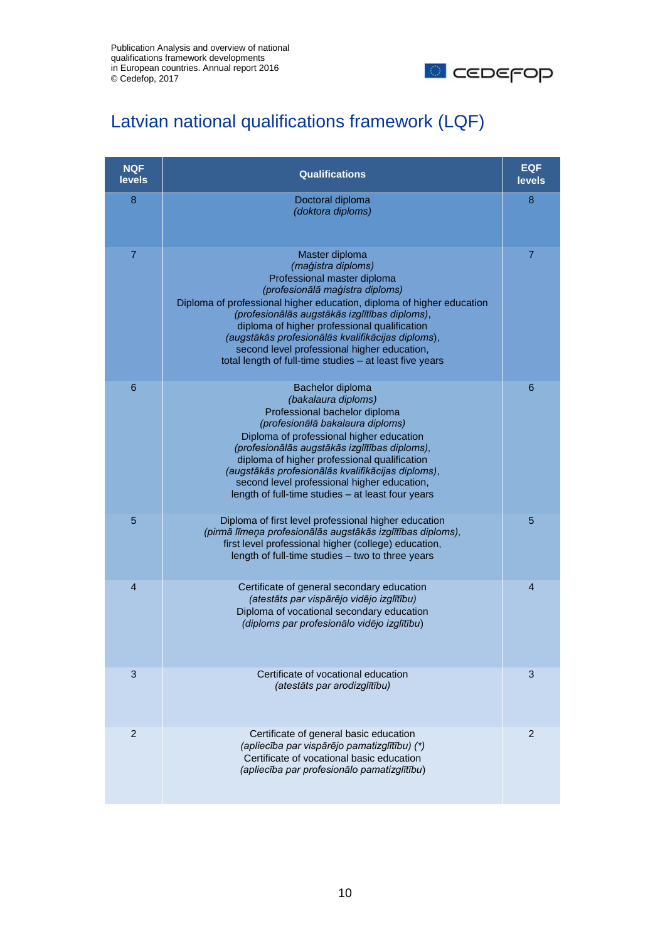

# Latvian national qualifications framework (LQF)

| <b>NQF</b><br><b>levels</b> | <b>Qualifications</b>                                                                                                                                                                                                                                                                                                                                                                                                                           | <b>EQF</b><br>levels |
|-----------------------------|-------------------------------------------------------------------------------------------------------------------------------------------------------------------------------------------------------------------------------------------------------------------------------------------------------------------------------------------------------------------------------------------------------------------------------------------------|----------------------|
| 8                           | Doctoral diploma<br>(doktora diploms)                                                                                                                                                                                                                                                                                                                                                                                                           | 8                    |
| 7                           | Master diploma<br>(maģistra diploms)<br>Professional master diploma<br>(profesionālā maģistra diploms)<br>Diploma of professional higher education, diploma of higher education<br>(profesionālās augstākās izglītības diploms),<br>diploma of higher professional qualification<br>(augstākās profesionālās kvalifikācijas diploms),<br>second level professional higher education,<br>total length of full-time studies - at least five years | 7                    |
| 6                           | Bachelor diploma<br>(bakalaura diploms)<br>Professional bachelor diploma<br>(profesionālā bakalaura diploms)<br>Diploma of professional higher education<br>(profesionālās augstākās izglītības diploms),<br>diploma of higher professional qualification<br>(augstākās profesionālās kvalifikācijas diploms),<br>second level professional higher education,<br>length of full-time studies - at least four years                              | 6                    |
| 5                           | Diploma of first level professional higher education<br>(pirmā līmeņa profesionālās augstākās izglītības diploms),<br>first level professional higher (college) education,<br>length of full-time studies – two to three years                                                                                                                                                                                                                  | 5                    |
| $\overline{4}$              | Certificate of general secondary education<br>(atestāts par vispārējo vidējo izglītību)<br>Diploma of vocational secondary education<br>(diploms par profesionālo vidējo izglītību)                                                                                                                                                                                                                                                             | 4                    |
| 3                           | Certificate of vocational education<br>(atestāts par arodizglītību)                                                                                                                                                                                                                                                                                                                                                                             | 3                    |
| $\overline{2}$              | Certificate of general basic education<br>(apliecība par vispārējo pamatizglītību) (*)<br>Certificate of vocational basic education<br>(apliecība par profesionālo pamatizglītību)                                                                                                                                                                                                                                                              | 2                    |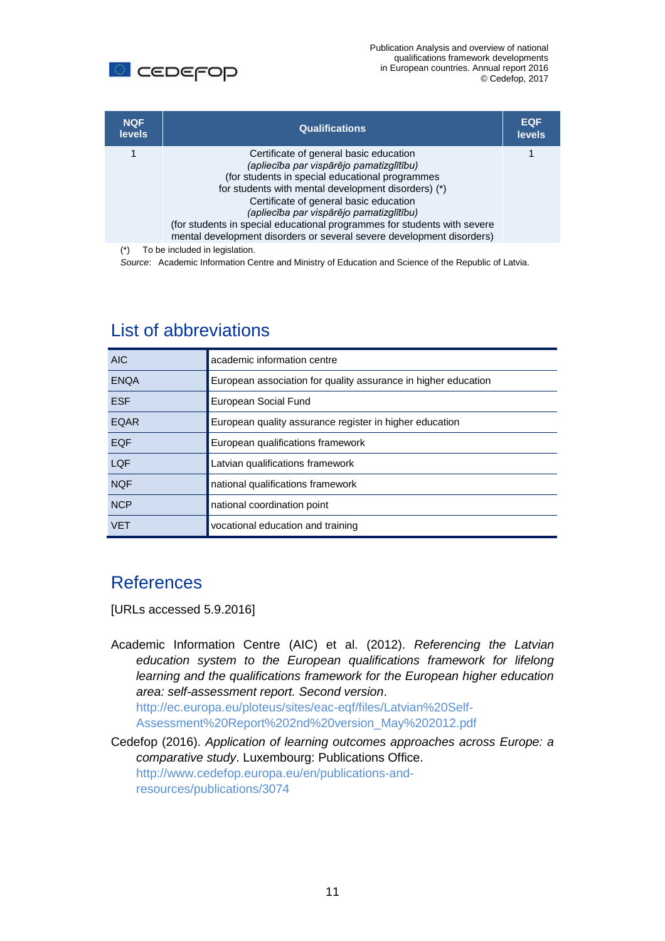

| <b>NQF</b><br><b>levels</b> | <b>Qualifications</b>                                                                                                                                                                                                                                                                                                                                                                                                                    | <b>EQF</b><br><b>levels</b> |
|-----------------------------|------------------------------------------------------------------------------------------------------------------------------------------------------------------------------------------------------------------------------------------------------------------------------------------------------------------------------------------------------------------------------------------------------------------------------------------|-----------------------------|
|                             | Certificate of general basic education<br>(apliecība par vispārējo pamatizglītību)<br>(for students in special educational programmes)<br>for students with mental development disorders) (*)<br>Certificate of general basic education<br>(apliecība par vispārējo pamatizglītību)<br>(for students in special educational programmes for students with severe<br>mental development disorders or several severe development disorders) |                             |
| $\left( \star \right)$      | To ha ingluded in lagislation                                                                                                                                                                                                                                                                                                                                                                                                            |                             |

(\*) To be included in legislation.

*Source*: Academic Information Centre and Ministry of Education and Science of the Republic of Latvia.

| AIC.        | academic information centre                                    |
|-------------|----------------------------------------------------------------|
| <b>ENOA</b> | European association for quality assurance in higher education |
| <b>ESF</b>  | European Social Fund                                           |
| <b>EQAR</b> | European quality assurance register in higher education        |
| <b>EQF</b>  | European qualifications framework                              |
| LQF         | Latvian qualifications framework                               |
| <b>NQF</b>  | national qualifications framework                              |
| <b>NCP</b>  | national coordination point                                    |
| <b>VFT</b>  | vocational education and training                              |

#### List of abbreviations

# **References**

[URLs accessed 5.9.2016]

Academic Information Centre (AIC) et al. (2012). *Referencing the Latvian education system to the European qualifications framework for lifelong learning and the qualifications framework for the European higher education area: self-assessment report. Second version*. [http://ec.europa.eu/ploteus/sites/eac-eqf/files/Latvian%20Self-](http://ec.europa.eu/ploteus/sites/eac-eqf/files/Latvian%20Self-Assessment%20Report%202nd%20version_May%202012.pdf)[Assessment%20Report%202nd%20version\\_May%202012.pdf](http://ec.europa.eu/ploteus/sites/eac-eqf/files/Latvian%20Self-Assessment%20Report%202nd%20version_May%202012.pdf)

Cedefop (2016). *Application of learning outcomes approaches across Europe: a comparative study*. Luxembourg: Publications Office. [http://www.cedefop.europa.eu/en/publications-and](http://www.cedefop.europa.eu/en/publications-and-resources/publications/3074)[resources/publications/3074](http://www.cedefop.europa.eu/en/publications-and-resources/publications/3074)